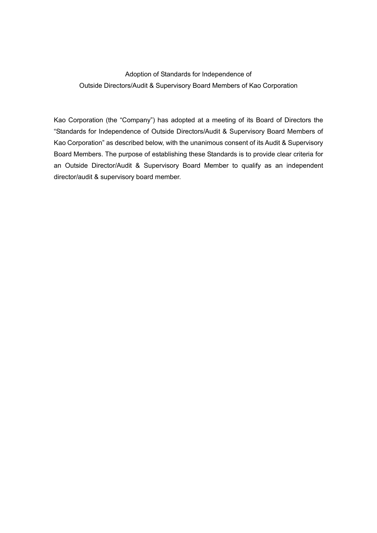## Adoption of Standards for Independence of Outside Directors/Audit & Supervisory Board Members of Kao Corporation

Kao Corporation (the "Company") has adopted at a meeting of its Board of Directors the "Standards for Independence of Outside Directors/Audit & Supervisory Board Members of Kao Corporation" as described below, with the unanimous consent of its Audit & Supervisory Board Members. The purpose of establishing these Standards is to provide clear criteria for an Outside Director/Audit & Supervisory Board Member to qualify as an independent director/audit & supervisory board member.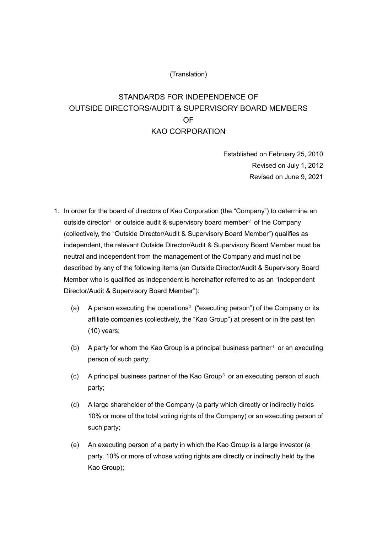## (Translation)

## STANDARDS FOR INDEPENDENCE OF OUTSIDE DIRECTORS/AUDIT & SUPERVISORY BOARD MEMBERS OF KAO CORPORATION

Established on February 25, 2010 Revised on July 1, 2012 Revised on June 9, 2021

- 1. In order for the board of directors of Kao Corporation (the "Company") to determine an outside director<sup>[1](#page-3-0)</sup> or outside audit & supervisory board member<sup>[2](#page-3-1)</sup> of the Company (collectively, the "Outside Director/Audit & Supervisory Board Member") qualifies as independent, the relevant Outside Director/Audit & Supervisory Board Member must be neutral and independent from the management of the Company and must not be described by any of the following items (an Outside Director/Audit & Supervisory Board Member who is qualified as independent is hereinafter referred to as an "Independent Director/Audit & Supervisory Board Member"):
	- (a) A person executing the operations<sup>[3](#page-3-2)</sup> ("executing person") of the Company or its affiliate companies (collectively, the "Kao Group") at present or in the past ten (10) years;
	- (b) A party for whom the Kao Group is a principal business partner<sup>[4](#page-3-3)</sup> or an executing person of such party;
	- (c) A principal business partner of the Kao Group<sup>[5](#page-3-4)</sup> or an executing person of such party;
	- (d) A large shareholder of the Company (a party which directly or indirectly holds 10% or more of the total voting rights of the Company) or an executing person of such party;
	- (e) An executing person of a party in which the Kao Group is a large investor (a party, 10% or more of whose voting rights are directly or indirectly held by the Kao Group);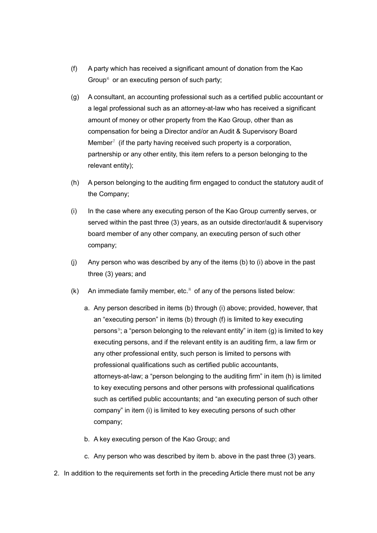- (f) A party which has received a significant amount of donation from the Kao Group $6$  or an executing person of such party;
- (g) A consultant, an accounting professional such as a certified public accountant or a legal professional such as an attorney-at-law who has received a significant amount of money or other property from the Kao Group, other than as compensation for being a Director and/or an Audit & Supervisory Board Member<sup> $7$ </sup> (if the party having received such property is a corporation, partnership or any other entity, this item refers to a person belonging to the relevant entity);
- (h) A person belonging to the auditing firm engaged to conduct the statutory audit of the Company;
- (i) In the case where any executing person of the Kao Group currently serves, or served within the past three (3) years, as an outside director/audit & supervisory board member of any other company, an executing person of such other company;
- (j) Any person who was described by any of the items (b) to (i) above in the past three (3) years; and
- (k) An immediate family member, etc. $8$  of any of the persons listed below:
	- a. Any person described in items (b) through (i) above; provided, however, that an "executing person" in items (b) through (f) is limited to key executing persons<sup>[9](#page-4-1)</sup>; a "person belonging to the relevant entity" in item  $(q)$  is limited to key executing persons, and if the relevant entity is an auditing firm, a law firm or any other professional entity, such person is limited to persons with professional qualifications such as certified public accountants, attorneys-at-law; a "person belonging to the auditing firm" in item (h) is limited to key executing persons and other persons with professional qualifications such as certified public accountants; and "an executing person of such other company" in item (i) is limited to key executing persons of such other company;
	- b. A key executing person of the Kao Group; and
	- c. Any person who was described by item b. above in the past three (3) years.
- 2. In addition to the requirements set forth in the preceding Article there must not be any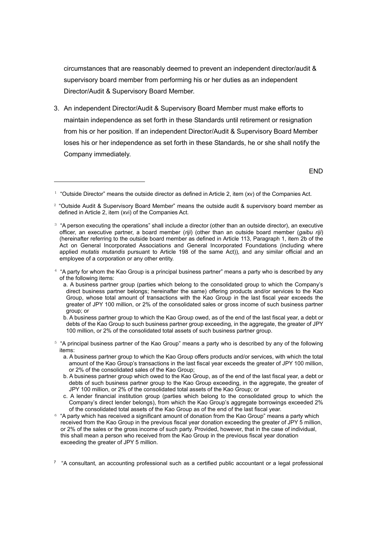circumstances that are reasonably deemed to prevent an independent director/audit & supervisory board member from performing his or her duties as an independent Director/Audit & Supervisory Board Member.

3. An independent Director/Audit & Supervisory Board Member must make efforts to maintain independence as set forth in these Standards until retirement or resignation from his or her position. If an independent Director/Audit & Supervisory Board Member loses his or her independence as set forth in these Standards, he or she shall notify the Company immediately.

END

1

- <span id="page-3-3"></span> $4$  "A party for whom the Kao Group is a principal business partner" means a party who is described by any of the following items:
	- a. A business partner group (parties which belong to the consolidated group to which the Company's direct business partner belongs; hereinafter the same) offering products and/or services to the Kao Group, whose total amount of transactions with the Kao Group in the last fiscal year exceeds the greater of JPY 100 million, or 2% of the consolidated sales or gross income of such business partner group; or
	- b. A business partner group to which the Kao Group owed, as of the end of the last fiscal year, a debt or debts of the Kao Group to such business partner group exceeding, in the aggregate, the greater of JPY 100 million, or 2% of the consolidated total assets of such business partner group.
- <span id="page-3-4"></span><sup>5</sup> "A principal business partner of the Kao Group" means a party who is described by any of the following items:
	- a. A business partner group to which the Kao Group offers products and/or services, with which the total amount of the Kao Group's transactions in the last fiscal year exceeds the greater of JPY 100 million, or 2% of the consolidated sales of the Kao Group;
	- b. A business partner group which owed to the Kao Group, as of the end of the last fiscal year, a debt or debts of such business partner group to the Kao Group exceeding, in the aggregate, the greater of JPY 100 million, or 2% of the consolidated total assets of the Kao Group; or
	- c. A lender financial institution group (parties which belong to the consolidated group to which the Company's direct lender belongs), from which the Kao Group's aggregate borrowings exceeded 2% of the consolidated total assets of the Kao Group as of the end of the last fiscal year.
- <span id="page-3-5"></span> $6$  "A party which has received a significant amount of donation from the Kao Group" means a party which received from the Kao Group in the previous fiscal year donation exceeding the greater of JPY 5 million, or 2% of the sales or the gross income of such party. Provided, however, that in the case of individual, this shall mean a person who received from the Kao Group in the previous fiscal year donation exceeding the greater of JPY 5 million.

<span id="page-3-6"></span> $7$  "A consultant, an accounting professional such as a certified public accountant or a legal professional

<span id="page-3-0"></span> $1$  "Outside Director" means the outside director as defined in Article 2, item (xv) of the Companies Act.

<span id="page-3-1"></span> $2$  "Outside Audit & Supervisory Board Member" means the outside audit & supervisory board member as defined in Article 2, item (xvi) of the Companies Act.

<span id="page-3-2"></span><sup>&</sup>lt;sup>3</sup> "A person executing the operations" shall include a director (other than an outside director), an executive officer, an executive partner, a board member (*riji*) (other than an outside board member (*gaibu riji*) (hereinafter referring to the outside board member as defined in Article 113, Paragraph 1, item 2b of the Act on General Incorporated Associations and General Incorporated Foundations (including where applied *mutatis mutandis* pursuant to Article 198 of the same Act)), and any similar official and an employee of a corporation or any other entity.